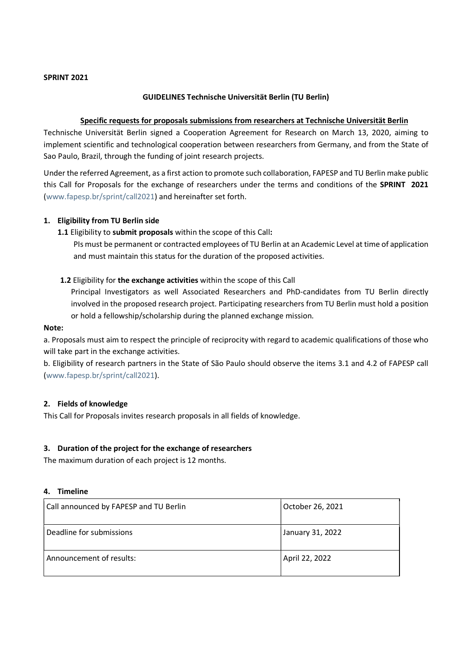#### SPRINT 2021

#### GUIDELINES Technische Universität Berlin (TU Berlin)

## Specific requests for proposals submissions from researchers at Technische Universität Berlin

Technische Universität Berlin signed a Cooperation Agreement for Research on March 13, 2020, aiming to implement scientific and technological cooperation between researchers from Germany, and from the State of Sao Paulo, Brazil, through the funding of joint research projects.

Under the referred Agreement, as a first action to promote such collaboration, FAPESP and TU Berlin make public this Call for Proposals for the exchange of researchers under the terms and conditions of the SPRINT 2021 (www.fapesp.br/sprint/call2021) and hereinafter set forth.

#### 1. Eligibility from TU Berlin side

# 1.1 Eligibility to submit proposals within the scope of this Call:

PIs must be permanent or contracted employees of TU Berlin at an Academic Level at time of application and must maintain this status for the duration of the proposed activities.

# 1.2 Eligibility for the exchange activities within the scope of this Call

Principal Investigators as well Associated Researchers and PhD-candidates from TU Berlin directly involved in the proposed research project. Participating researchers from TU Berlin must hold a position or hold a fellowship/scholarship during the planned exchange mission.

#### Note:

a. Proposals must aim to respect the principle of reciprocity with regard to academic qualifications of those who will take part in the exchange activities.

b. Eligibility of research partners in the State of São Paulo should observe the items 3.1 and 4.2 of FAPESP call (www.fapesp.br/sprint/call2021).

#### 2. Fields of knowledge

This Call for Proposals invites research proposals in all fields of knowledge.

#### 3. Duration of the project for the exchange of researchers

The maximum duration of each project is 12 months.

#### 4. Timeline

| Call announced by FAPESP and TU Berlin | October 26, 2021 |
|----------------------------------------|------------------|
| Deadline for submissions               | January 31, 2022 |
| Announcement of results:               | April 22, 2022   |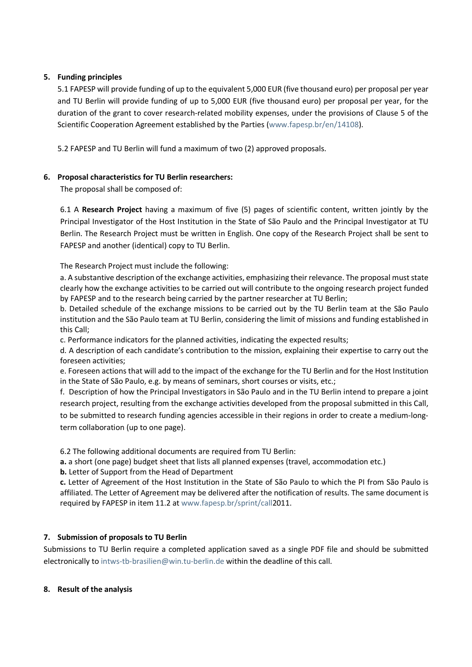# 5. Funding principles

5.1 FAPESP will provide funding of up to the equivalent 5,000 EUR (five thousand euro) per proposal per year and TU Berlin will provide funding of up to 5,000 EUR (five thousand euro) per proposal per year, for the duration of the grant to cover research-related mobility expenses, under the provisions of Clause 5 of the Scientific Cooperation Agreement established by the Parties (www.fapesp.br/en/14108).

5.2 FAPESP and TU Berlin will fund a maximum of two (2) approved proposals.

# 6. Proposal characteristics for TU Berlin researchers:

The proposal shall be composed of:

6.1 A Research Project having a maximum of five (5) pages of scientific content, written jointly by the Principal Investigator of the Host Institution in the State of São Paulo and the Principal Investigator at TU Berlin. The Research Project must be written in English. One copy of the Research Project shall be sent to FAPESP and another (identical) copy to TU Berlin.

The Research Project must include the following:

a. A substantive description of the exchange activities, emphasizing their relevance. The proposal must state clearly how the exchange activities to be carried out will contribute to the ongoing research project funded by FAPESP and to the research being carried by the partner researcher at TU Berlin;

b. Detailed schedule of the exchange missions to be carried out by the TU Berlin team at the São Paulo institution and the São Paulo team at TU Berlin, considering the limit of missions and funding established in this Call;

c. Performance indicators for the planned activities, indicating the expected results;

d. A description of each candidate's contribution to the mission, explaining their expertise to carry out the foreseen activities;

e. Foreseen actions that will add to the impact of the exchange for the TU Berlin and for the Host Institution in the State of São Paulo, e.g. by means of seminars, short courses or visits, etc.;

f. Description of how the Principal Investigators in São Paulo and in the TU Berlin intend to prepare a joint research project, resulting from the exchange activities developed from the proposal submitted in this Call, to be submitted to research funding agencies accessible in their regions in order to create a medium-longterm collaboration (up to one page).

6.2 The following additional documents are required from TU Berlin:

a. a short (one page) budget sheet that lists all planned expenses (travel, accommodation etc.)

b. Letter of Support from the Head of Department

c. Letter of Agreement of the Host Institution in the State of São Paulo to which the PI from São Paulo is affiliated. The Letter of Agreement may be delivered after the notification of results. The same document is required by FAPESP in item 11.2 at www.fapesp.br/sprint/call2011.

# 7. Submission of proposals to TU Berlin

Submissions to TU Berlin require a completed application saved as a single PDF file and should be submitted electronically to intws-tb-brasilien@win.tu-berlin.de within the deadline of this call.

#### 8. Result of the analysis